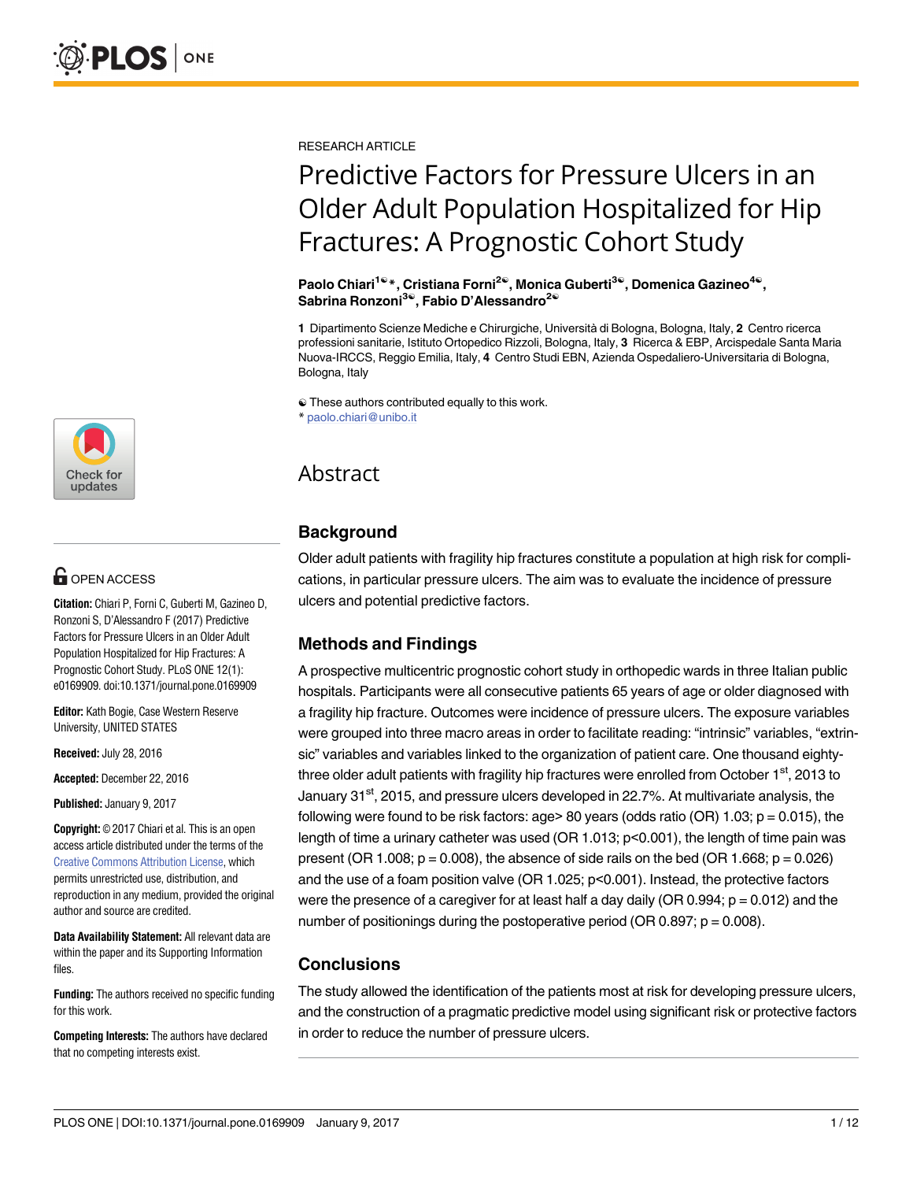

# **OPEN ACCESS**

**Citation:** Chiari P, Forni C, Guberti M, Gazineo D, Ronzoni S, D'Alessandro F (2017) Predictive Factors for Pressure Ulcers in an Older Adult Population Hospitalized for Hip Fractures: A Prognostic Cohort Study. PLoS ONE 12(1): e0169909. doi:10.1371/journal.pone.0169909

**Editor:** Kath Bogie, Case Western Reserve University, UNITED STATES

**Received:** July 28, 2016

**Accepted:** December 22, 2016

**Published:** January 9, 2017

**Copyright:** © 2017 Chiari et al. This is an open access article distributed under the terms of the Creative Commons [Attribution](http://creativecommons.org/licenses/by/4.0/) License, which permits unrestricted use, distribution, and reproduction in any medium, provided the original author and source are credited.

**Data Availability Statement:** All relevant data are within the paper and its Supporting Information files.

**Funding:** The authors received no specific funding for this work.

**Competing Interests:** The authors have declared that no competing interests exist.

RESEARCH ARTICLE

# Predictive Factors for Pressure Ulcers in an Older Adult Population Hospitalized for Hip Fractures: A Prognostic Cohort Study

**Paolo Chiari1**☯**\*, Cristiana Forni2**☯**, Monica Guberti3**☯**, Domenica Gazineo4**☯**, Sabrina Ronzoni3**☯**, Fabio D'Alessandro2**☯

**1** Dipartimento Scienze Mediche e Chirurgiche, Università di Bologna, Bologna, Italy, **2** Centro ricerca professioni sanitarie, Istituto Ortopedico Rizzoli, Bologna, Italy, **3** Ricerca & EBP, Arcispedale Santa Maria Nuova-IRCCS, Reggio Emilia, Italy, **4** Centro Studi EBN, Azienda Ospedaliero-Universitaria di Bologna, Bologna, Italy

☯ These authors contributed equally to this work. \* paolo.chiari@unibo.it

# Abstract

# **Background**

Older adult patients with fragility hip fractures constitute a population at high risk for complications, in particular pressure ulcers. The aim was to evaluate the incidence of pressure ulcers and potential predictive factors.

# **Methods and Findings**

A prospective multicentric prognostic cohort study in orthopedic wards in three Italian public hospitals. Participants were all consecutive patients 65 years of age or older diagnosed with a fragility hip fracture. Outcomes were incidence of pressure ulcers. The exposure variables were grouped into three macro areas in order to facilitate reading: "intrinsic" variables, "extrinsic" variables and variables linked to the organization of patient care. One thousand eightythree older adult patients with fragility hip fractures were enrolled from October  $1<sup>st</sup>$ , 2013 to January 31<sup>st</sup>, 2015, and pressure ulcers developed in 22.7%. At multivariate analysis, the following were found to be risk factors: age> 80 years (odds ratio (OR) 1.03;  $p = 0.015$ ), the length of time a urinary catheter was used (OR 1.013; p<0.001), the length of time pain was present (OR 1.008;  $p = 0.008$ ), the absence of side rails on the bed (OR 1.668;  $p = 0.026$ ) and the use of a foam position valve (OR 1.025; p<0.001). Instead, the protective factors were the presence of a caregiver for at least half a day daily (OR  $0.994$ ;  $p = 0.012$ ) and the number of positionings during the postoperative period (OR 0.897;  $p = 0.008$ ).

# **Conclusions**

The study allowed the identification of the patients most at risk for developing pressure ulcers, and the construction of a pragmatic predictive model using significant risk or protective factors in order to reduce the number of pressure ulcers.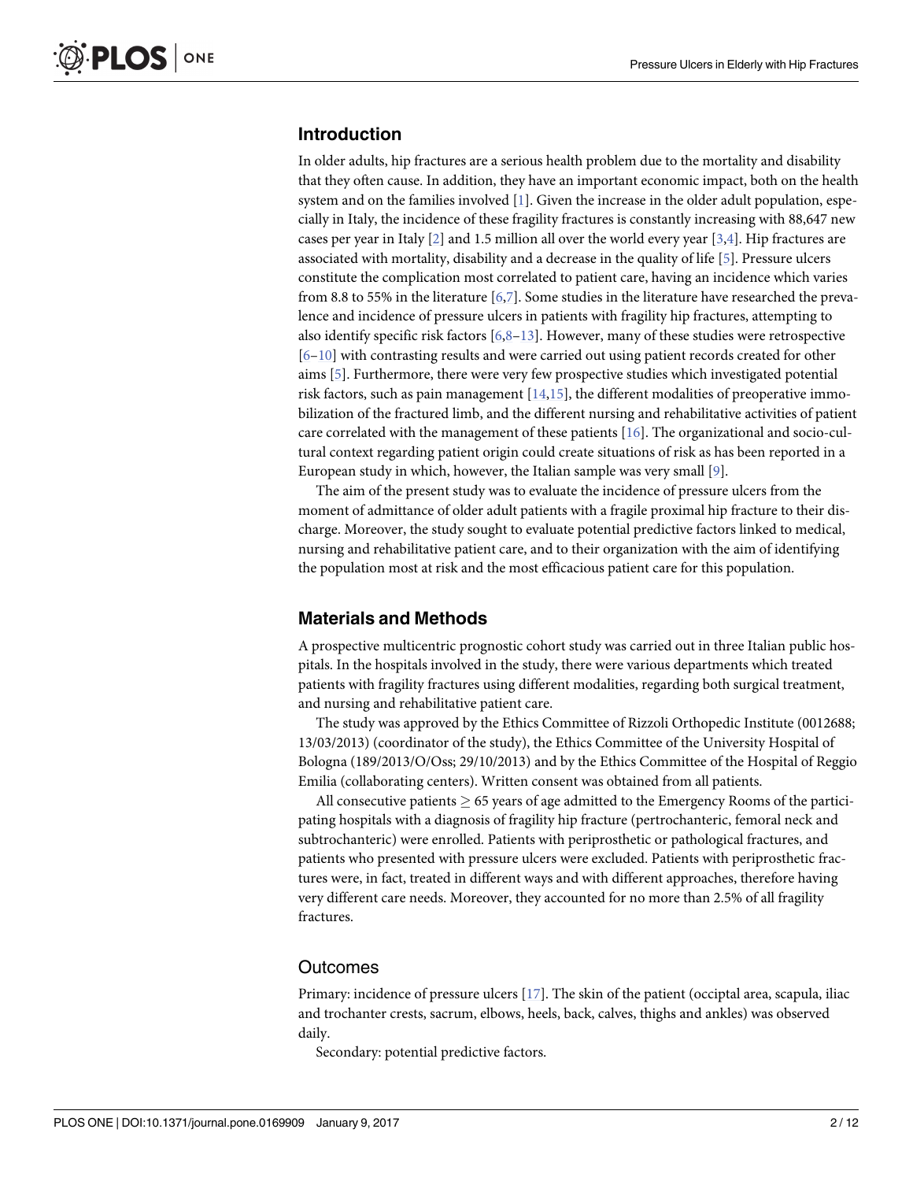# <span id="page-1-0"></span>**Introduction**

In older adults, hip fractures are a serious health problem due to the mortality and disability that they often cause. In addition, they have an important economic impact, both on the health system and on the families involved [\[1](#page-10-0)]. Given the increase in the older adult population, especially in Italy, the incidence of these fragility fractures is constantly increasing with 88,647 new cases per year in Italy [\[2](#page-10-0)] and 1.5 million all over the world every year [[3](#page-10-0),[4](#page-10-0)]. Hip fractures are associated with mortality, disability and a decrease in the quality of life [\[5\]](#page-10-0). Pressure ulcers constitute the complication most correlated to patient care, having an incidence which varies from 8.8 to 55% in the literature [[6](#page-10-0),[7](#page-10-0)]. Some studies in the literature have researched the prevalence and incidence of pressure ulcers in patients with fragility hip fractures, attempting to also identify specific risk factors [\[6,8–13\]](#page-10-0). However, many of these studies were retrospective [\[6–10\]](#page-10-0) with contrasting results and were carried out using patient records created for other aims [\[5](#page-10-0)]. Furthermore, there were very few prospective studies which investigated potential risk factors, such as pain management  $[14,15]$  $[14,15]$  $[14,15]$  $[14,15]$  $[14,15]$ , the different modalities of preoperative immobilization of the fractured limb, and the different nursing and rehabilitative activities of patient care correlated with the management of these patients [\[16\]](#page-10-0). The organizational and socio-cultural context regarding patient origin could create situations of risk as has been reported in a European study in which, however, the Italian sample was very small [\[9\]](#page-10-0).

The aim of the present study was to evaluate the incidence of pressure ulcers from the moment of admittance of older adult patients with a fragile proximal hip fracture to their discharge. Moreover, the study sought to evaluate potential predictive factors linked to medical, nursing and rehabilitative patient care, and to their organization with the aim of identifying the population most at risk and the most efficacious patient care for this population.

# **Materials and Methods**

A prospective multicentric prognostic cohort study was carried out in three Italian public hospitals. In the hospitals involved in the study, there were various departments which treated patients with fragility fractures using different modalities, regarding both surgical treatment, and nursing and rehabilitative patient care.

The study was approved by the Ethics Committee of Rizzoli Orthopedic Institute (0012688; 13/03/2013) (coordinator of the study), the Ethics Committee of the University Hospital of Bologna (189/2013/O/Oss; 29/10/2013) and by the Ethics Committee of the Hospital of Reggio Emilia (collaborating centers). Written consent was obtained from all patients.

All consecutive patients  $\geq 65$  years of age admitted to the Emergency Rooms of the participating hospitals with a diagnosis of fragility hip fracture (pertrochanteric, femoral neck and subtrochanteric) were enrolled. Patients with periprosthetic or pathological fractures, and patients who presented with pressure ulcers were excluded. Patients with periprosthetic fractures were, in fact, treated in different ways and with different approaches, therefore having very different care needs. Moreover, they accounted for no more than 2.5% of all fragility fractures.

#### **Outcomes**

Primary: incidence of pressure ulcers [\[17](#page-10-0)]. The skin of the patient (occiptal area, scapula, iliac and trochanter crests, sacrum, elbows, heels, back, calves, thighs and ankles) was observed daily.

Secondary: potential predictive factors.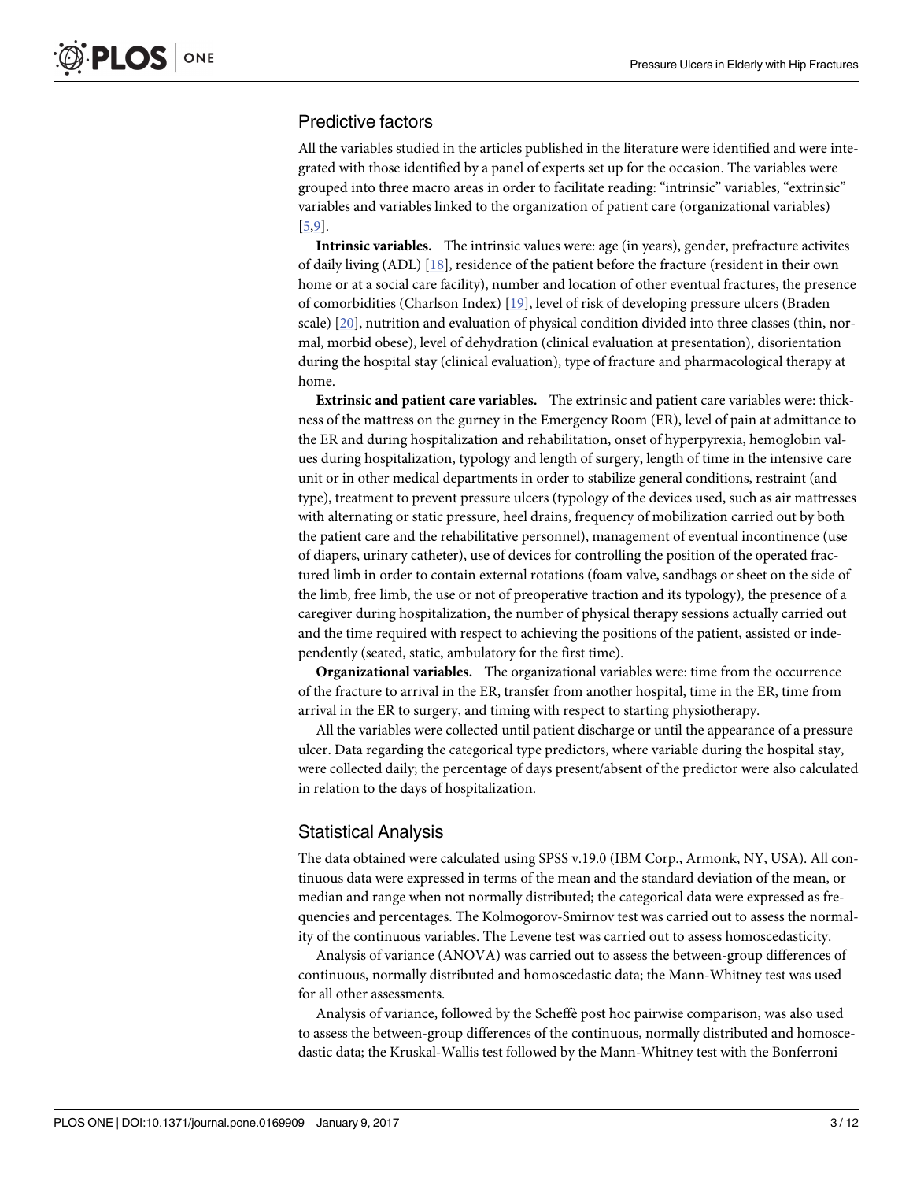# <span id="page-2-0"></span>Predictive factors

All the variables studied in the articles published in the literature were identified and were integrated with those identified by a panel of experts set up for the occasion. The variables were grouped into three macro areas in order to facilitate reading: "intrinsic" variables, "extrinsic" variables and variables linked to the organization of patient care (organizational variables) [\[5,9](#page-10-0)].

**Intrinsic variables.** The intrinsic values were: age (in years), gender, prefracture activites of daily living (ADL) [\[18\]](#page-10-0), residence of the patient before the fracture (resident in their own home or at a social care facility), number and location of other eventual fractures, the presence of comorbidities (Charlson Index) [\[19\]](#page-10-0), level of risk of developing pressure ulcers (Braden scale) [[20](#page-10-0)], nutrition and evaluation of physical condition divided into three classes (thin, normal, morbid obese), level of dehydration (clinical evaluation at presentation), disorientation during the hospital stay (clinical evaluation), type of fracture and pharmacological therapy at home.

**Extrinsic and patient care variables.** The extrinsic and patient care variables were: thickness of the mattress on the gurney in the Emergency Room (ER), level of pain at admittance to the ER and during hospitalization and rehabilitation, onset of hyperpyrexia, hemoglobin values during hospitalization, typology and length of surgery, length of time in the intensive care unit or in other medical departments in order to stabilize general conditions, restraint (and type), treatment to prevent pressure ulcers (typology of the devices used, such as air mattresses with alternating or static pressure, heel drains, frequency of mobilization carried out by both the patient care and the rehabilitative personnel), management of eventual incontinence (use of diapers, urinary catheter), use of devices for controlling the position of the operated fractured limb in order to contain external rotations (foam valve, sandbags or sheet on the side of the limb, free limb, the use or not of preoperative traction and its typology), the presence of a caregiver during hospitalization, the number of physical therapy sessions actually carried out and the time required with respect to achieving the positions of the patient, assisted or independently (seated, static, ambulatory for the first time).

**Organizational variables.** The organizational variables were: time from the occurrence of the fracture to arrival in the ER, transfer from another hospital, time in the ER, time from arrival in the ER to surgery, and timing with respect to starting physiotherapy.

All the variables were collected until patient discharge or until the appearance of a pressure ulcer. Data regarding the categorical type predictors, where variable during the hospital stay, were collected daily; the percentage of days present/absent of the predictor were also calculated in relation to the days of hospitalization.

# Statistical Analysis

The data obtained were calculated using SPSS v.19.0 (IBM Corp., Armonk, NY, USA). All continuous data were expressed in terms of the mean and the standard deviation of the mean, or median and range when not normally distributed; the categorical data were expressed as frequencies and percentages. The Kolmogorov-Smirnov test was carried out to assess the normality of the continuous variables. The Levene test was carried out to assess homoscedasticity.

Analysis of variance (ANOVA) was carried out to assess the between-group differences of continuous, normally distributed and homoscedastic data; the Mann-Whitney test was used for all other assessments.

Analysis of variance, followed by the Scheffè post hoc pairwise comparison, was also used to assess the between-group differences of the continuous, normally distributed and homoscedastic data; the Kruskal-Wallis test followed by the Mann-Whitney test with the Bonferroni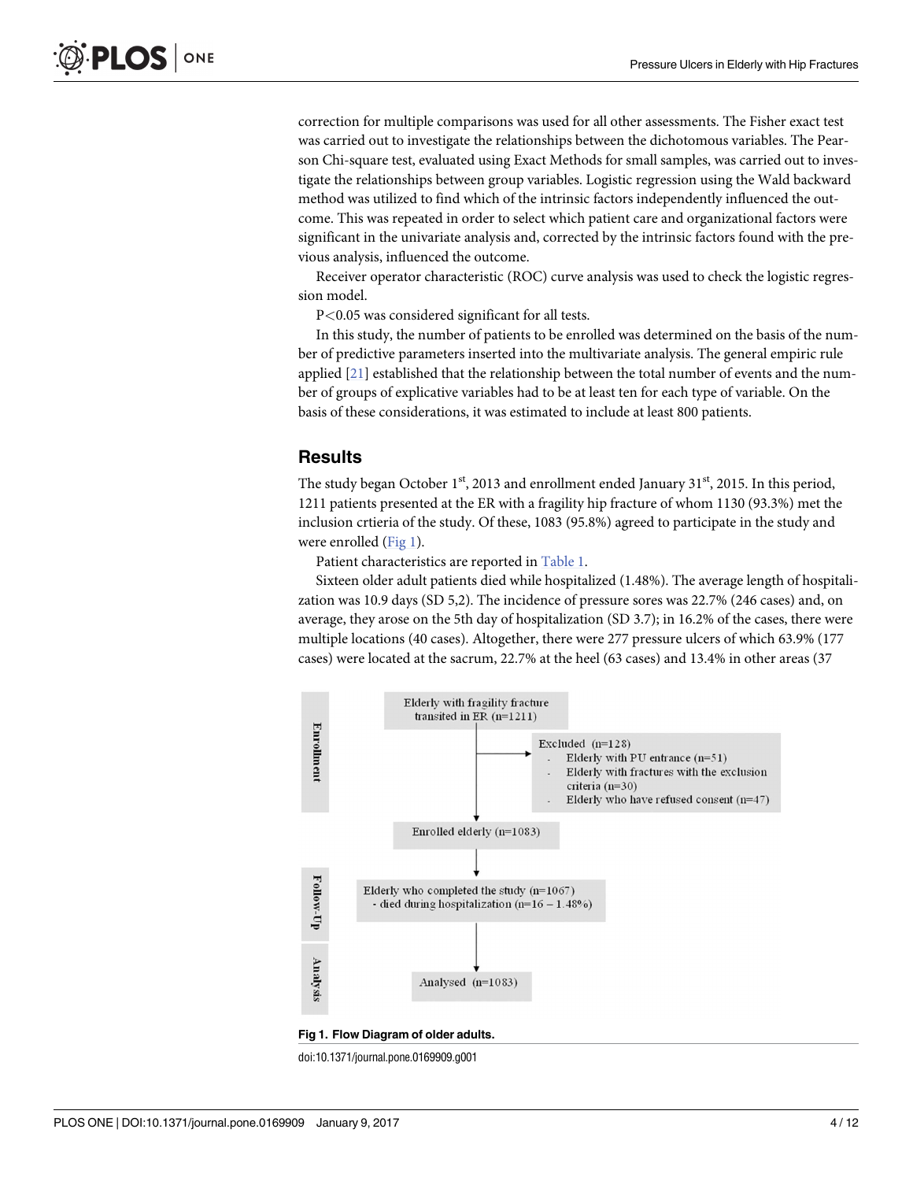<span id="page-3-0"></span>correction for multiple comparisons was used for all other assessments. The Fisher exact test was carried out to investigate the relationships between the dichotomous variables. The Pearson Chi-square test, evaluated using Exact Methods for small samples, was carried out to investigate the relationships between group variables. Logistic regression using the Wald backward method was utilized to find which of the intrinsic factors independently influenced the outcome. This was repeated in order to select which patient care and organizational factors were significant in the univariate analysis and, corrected by the intrinsic factors found with the previous analysis, influenced the outcome.

Receiver operator characteristic (ROC) curve analysis was used to check the logistic regression model.

P*<*0.05 was considered significant for all tests.

In this study, the number of patients to be enrolled was determined on the basis of the number of predictive parameters inserted into the multivariate analysis. The general empiric rule applied [[21](#page-11-0)] established that the relationship between the total number of events and the number of groups of explicative variables had to be at least ten for each type of variable. On the basis of these considerations, it was estimated to include at least 800 patients.

#### **Results**

The study began October 1<sup>st</sup>, 2013 and enrollment ended January 31<sup>st</sup>, 2015. In this period, 1211 patients presented at the ER with a fragility hip fracture of whom 1130 (93.3%) met the inclusion crtieria of the study. Of these, 1083 (95.8%) agreed to participate in the study and were enrolled (Fig 1).

Patient characteristics are reported in [Table](#page-4-0) 1.

Sixteen older adult patients died while hospitalized (1.48%). The average length of hospitalization was 10.9 days (SD 5,2). The incidence of pressure sores was 22.7% (246 cases) and, on average, they arose on the 5th day of hospitalization (SD 3.7); in 16.2% of the cases, there were multiple locations (40 cases). Altogether, there were 277 pressure ulcers of which 63.9% (177 cases) were located at the sacrum, 22.7% at the heel (63 cases) and 13.4% in other areas (37



doi:10.1371/journal.pone.0169909.g001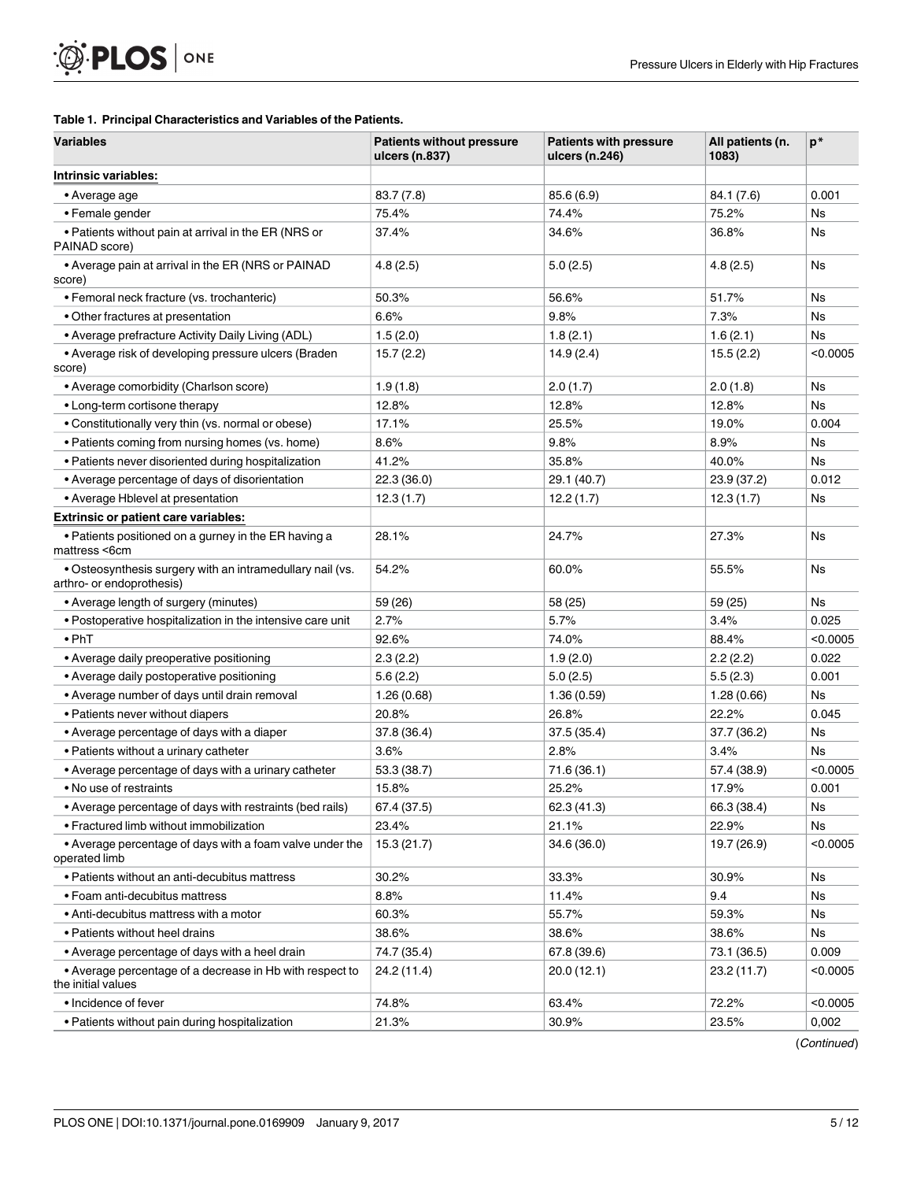#### <span id="page-4-0"></span>**[Table](#page-3-0) 1. Principal Characteristics and Variables of the Patients.**

| <b>Variables</b>                                                                       | <b>Patients without pressure</b><br>ulcers (n.837) | <b>Patients with pressure</b><br>ulcers (n.246) | All patients (n.<br>1083) | $p^*$     |
|----------------------------------------------------------------------------------------|----------------------------------------------------|-------------------------------------------------|---------------------------|-----------|
| Intrinsic variables:                                                                   |                                                    |                                                 |                           |           |
| • Average age                                                                          | 83.7 (7.8)                                         | 85.6 (6.9)                                      | 84.1 (7.6)                | 0.001     |
| • Female gender                                                                        | 75.4%                                              | 74.4%                                           | 75.2%                     | Ns        |
| • Patients without pain at arrival in the ER (NRS or<br>PAINAD score)                  | 37.4%                                              | 34.6%                                           | 36.8%                     | Ns        |
| • Average pain at arrival in the ER (NRS or PAINAD<br>score)                           | 4.8(2.5)                                           | 5.0(2.5)                                        | 4.8(2.5)                  | <b>Ns</b> |
| • Femoral neck fracture (vs. trochanteric)                                             | 50.3%                                              | 56.6%                                           | 51.7%                     | <b>Ns</b> |
| • Other fractures at presentation                                                      | 6.6%                                               | 9.8%                                            | 7.3%                      | <b>Ns</b> |
| • Average prefracture Activity Daily Living (ADL)                                      | 1.5(2.0)                                           | 1.8(2.1)                                        | 1.6(2.1)                  | Ns        |
| • Average risk of developing pressure ulcers (Braden<br>score)                         | 15.7(2.2)                                          | 14.9(2.4)                                       | 15.5(2.2)                 | < 0.0005  |
| • Average comorbidity (Charlson score)                                                 | 1.9(1.8)                                           | 2.0(1.7)                                        | 2.0(1.8)                  | <b>Ns</b> |
| • Long-term cortisone therapy                                                          | 12.8%                                              | 12.8%                                           | 12.8%                     | <b>Ns</b> |
| • Constitutionally very thin (vs. normal or obese)                                     | 17.1%                                              | 25.5%                                           | 19.0%                     | 0.004     |
| • Patients coming from nursing homes (vs. home)                                        | 8.6%                                               | 9.8%                                            | 8.9%                      | <b>Ns</b> |
| • Patients never disoriented during hospitalization                                    | 41.2%                                              | 35.8%                                           | 40.0%                     | <b>Ns</b> |
| • Average percentage of days of disorientation                                         | 22.3 (36.0)                                        | 29.1 (40.7)                                     | 23.9 (37.2)               | 0.012     |
| • Average Hblevel at presentation                                                      | 12.3(1.7)                                          | 12.2(1.7)                                       | 12.3(1.7)                 | Ns        |
| <b>Extrinsic or patient care variables:</b>                                            |                                                    |                                                 |                           |           |
| • Patients positioned on a gurney in the ER having a<br>mattress <6cm                  | 28.1%                                              | 24.7%                                           | 27.3%                     | <b>Ns</b> |
| . Osteosynthesis surgery with an intramedullary nail (vs.<br>arthro- or endoprothesis) | 54.2%                                              | 60.0%                                           | 55.5%                     | <b>Ns</b> |
| • Average length of surgery (minutes)                                                  | 59 (26)                                            | 58 (25)                                         | 59 (25)                   | <b>Ns</b> |
| • Postoperative hospitalization in the intensive care unit                             | 2.7%                                               | 5.7%                                            | 3.4%                      | 0.025     |
| $\bullet$ PhT                                                                          | 92.6%                                              | 74.0%                                           | 88.4%                     | < 0.0005  |
| • Average daily preoperative positioning                                               | 2.3(2.2)                                           | 1.9(2.0)                                        | 2.2(2.2)                  | 0.022     |
| • Average daily postoperative positioning                                              | 5.6(2.2)                                           | 5.0(2.5)                                        | 5.5(2.3)                  | 0.001     |
| • Average number of days until drain removal                                           | 1.26(0.68)                                         | 1.36(0.59)                                      | 1.28(0.66)                | Ns        |
| • Patients never without diapers                                                       | 20.8%                                              | 26.8%                                           | 22.2%                     | 0.045     |
| • Average percentage of days with a diaper                                             | 37.8 (36.4)                                        | 37.5 (35.4)                                     | 37.7 (36.2)               | Ns        |
| • Patients without a urinary catheter                                                  | 3.6%                                               | 2.8%                                            | 3.4%                      | Ns        |
| • Average percentage of days with a urinary catheter                                   | 53.3 (38.7)                                        | 71.6 (36.1)                                     | 57.4 (38.9)               | < 0.0005  |
| • No use of restraints                                                                 | 15.8%                                              | 25.2%                                           | 17.9%                     | 0.001     |
| • Average percentage of days with restraints (bed rails)                               | 67.4 (37.5)                                        | 62.3 (41.3)                                     | 66.3 (38.4)               | <b>Ns</b> |
| • Fractured limb without immobilization                                                | 23.4%                                              | 21.1%                                           | 22.9%                     | Ns        |
| • Average percentage of days with a foam valve under the<br>operated limb              | 15.3(21.7)                                         | 34.6 (36.0)                                     | 19.7 (26.9)               | < 0.0005  |
| • Patients without an anti-decubitus mattress                                          | 30.2%                                              | 33.3%                                           | 30.9%                     | <b>Ns</b> |
| • Foam anti-decubitus mattress                                                         | 8.8%                                               | 11.4%                                           | 9.4                       | <b>Ns</b> |
| • Anti-decubitus mattress with a motor                                                 | 60.3%                                              | 55.7%                                           | 59.3%                     | <b>Ns</b> |
| • Patients without heel drains                                                         | 38.6%                                              | 38.6%                                           | 38.6%                     | <b>Ns</b> |
| • Average percentage of days with a heel drain                                         | 74.7 (35.4)                                        | 67.8 (39.6)                                     | 73.1 (36.5)               | 0.009     |
| • Average percentage of a decrease in Hb with respect to<br>the initial values         | 24.2 (11.4)                                        | 20.0(12.1)                                      | 23.2(11.7)                | < 0.0005  |
| • Incidence of fever                                                                   | 74.8%                                              | 63.4%                                           | 72.2%                     | < 0.0005  |
| • Patients without pain during hospitalization                                         | 21.3%                                              | 30.9%                                           | 23.5%                     | 0,002     |

(Continued)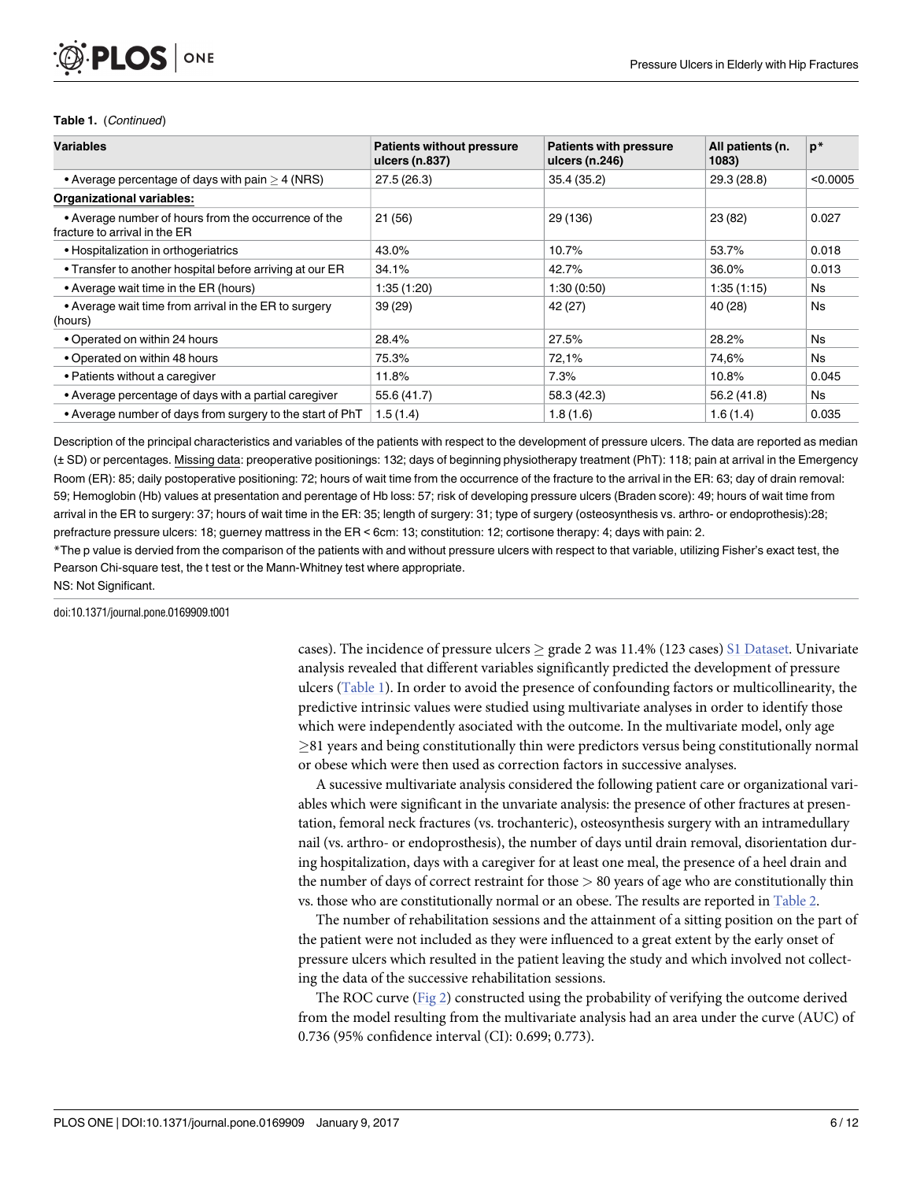#### **Table 1.** (Continued)

<span id="page-5-0"></span>PLOS I

ONE

| <b>Variables</b>                                                                      | <b>Patients without pressure</b><br>ulcers (n.837) | <b>Patients with pressure</b><br>ulcers (n.246) | All patients (n.<br>1083) | $p*$      |
|---------------------------------------------------------------------------------------|----------------------------------------------------|-------------------------------------------------|---------------------------|-----------|
| • Average percentage of days with pain $>$ 4 (NRS)                                    | 27.5(26.3)                                         | 35.4 (35.2)                                     | 29.3 (28.8)               | < 0.0005  |
| <b>Organizational variables:</b>                                                      |                                                    |                                                 |                           |           |
| • Average number of hours from the occurrence of the<br>fracture to arrival in the ER | 21(56)                                             | 29 (136)                                        | 23 (82)                   | 0.027     |
| • Hospitalization in orthogeriatrics                                                  | 43.0%                                              | 10.7%                                           | 53.7%                     | 0.018     |
| • Transfer to another hospital before arriving at our ER                              | 34.1%                                              | 42.7%                                           | 36.0%                     | 0.013     |
| • Average wait time in the ER (hours)                                                 | 1:35(1:20)                                         | 1:30(0:50)                                      | 1:35(1:15)                | <b>Ns</b> |
| • Average wait time from arrival in the ER to surgery<br>(hours)                      | 39 (29)                                            | 42 (27)                                         | 40 (28)                   | <b>Ns</b> |
| • Operated on within 24 hours                                                         | 28.4%                                              | 27.5%                                           | 28.2%                     | Ns.       |
| • Operated on within 48 hours                                                         | 75.3%                                              | 72,1%                                           | 74,6%                     | Ns        |
| • Patients without a caregiver                                                        | 11.8%                                              | 7.3%                                            | 10.8%                     | 0.045     |
| • Average percentage of days with a partial caregiver                                 | 55.6 (41.7)                                        | 58.3 (42.3)                                     | 56.2 (41.8)               | <b>Ns</b> |
| • Average number of days from surgery to the start of PhT                             | 1.5(1.4)                                           | 1.8(1.6)                                        | 1.6(1.4)                  | 0.035     |

Description of the principal characteristics and variables of the patients with respect to the development of pressure ulcers. The data are reported as median (± SD) or percentages. Missing data: preoperative positionings: 132; days of beginning physiotherapy treatment (PhT): 118; pain at arrival in the Emergency Room (ER): 85; daily postoperative positioning: 72; hours of wait time from the occurrence of the fracture to the arrival in the ER: 63; day of drain removal: 59; Hemoglobin (Hb) values at presentation and perentage of Hb loss: 57; risk of developing pressure ulcers (Braden score): 49; hours of wait time from arrival in the ER to surgery: 37; hours of wait time in the ER: 35; length of surgery: 31; type of surgery (osteosynthesis vs. arthro- or endoprothesis):28; prefracture pressure ulcers: 18; guerney mattress in the ER < 6cm: 13; constitution: 12; cortisone therapy: 4; days with pain: 2.

\*The p value is dervied from the comparison of the patients with and without pressure ulcers with respect to that variable, utilizing Fisher's exact test, the Pearson Chi-square test, the t test or the Mann-Whitney test where appropriate.

NS: Not Significant.

doi:10.1371/journal.pone.0169909.t001

cases). The incidence of pressure ulcers  $\geq$  grade 2 was 11.4% (123 cases) S1 [Dataset](#page-9-0). Univariate analysis revealed that different variables significantly predicted the development of pressure ulcers [\(Table](#page-4-0) 1). In order to avoid the presence of confounding factors or multicollinearity, the predictive intrinsic values were studied using multivariate analyses in order to identify those which were independently asociated with the outcome. In the multivariate model, only age  $\geq$ 81 years and being constitutionally thin were predictors versus being constitutionally normal or obese which were then used as correction factors in successive analyses.

A sucessive multivariate analysis considered the following patient care or organizational variables which were significant in the unvariate analysis: the presence of other fractures at presentation, femoral neck fractures (vs. trochanteric), osteosynthesis surgery with an intramedullary nail (vs. arthro- or endoprosthesis), the number of days until drain removal, disorientation during hospitalization, days with a caregiver for at least one meal, the presence of a heel drain and the number of days of correct restraint for those *>* 80 years of age who are constitutionally thin vs. those who are constitutionally normal or an obese. The results are reported in [Table](#page-6-0) 2.

The number of rehabilitation sessions and the attainment of a sitting position on the part of the patient were not included as they were influenced to a great extent by the early onset of pressure ulcers which resulted in the patient leaving the study and which involved not collecting the data of the successive rehabilitation sessions.

The ROC curve ( $Fig 2$  $Fig 2$ ) constructed using the probability of verifying the outcome derived from the model resulting from the multivariate analysis had an area under the curve (AUC) of 0.736 (95% confidence interval (CI): 0.699; 0.773).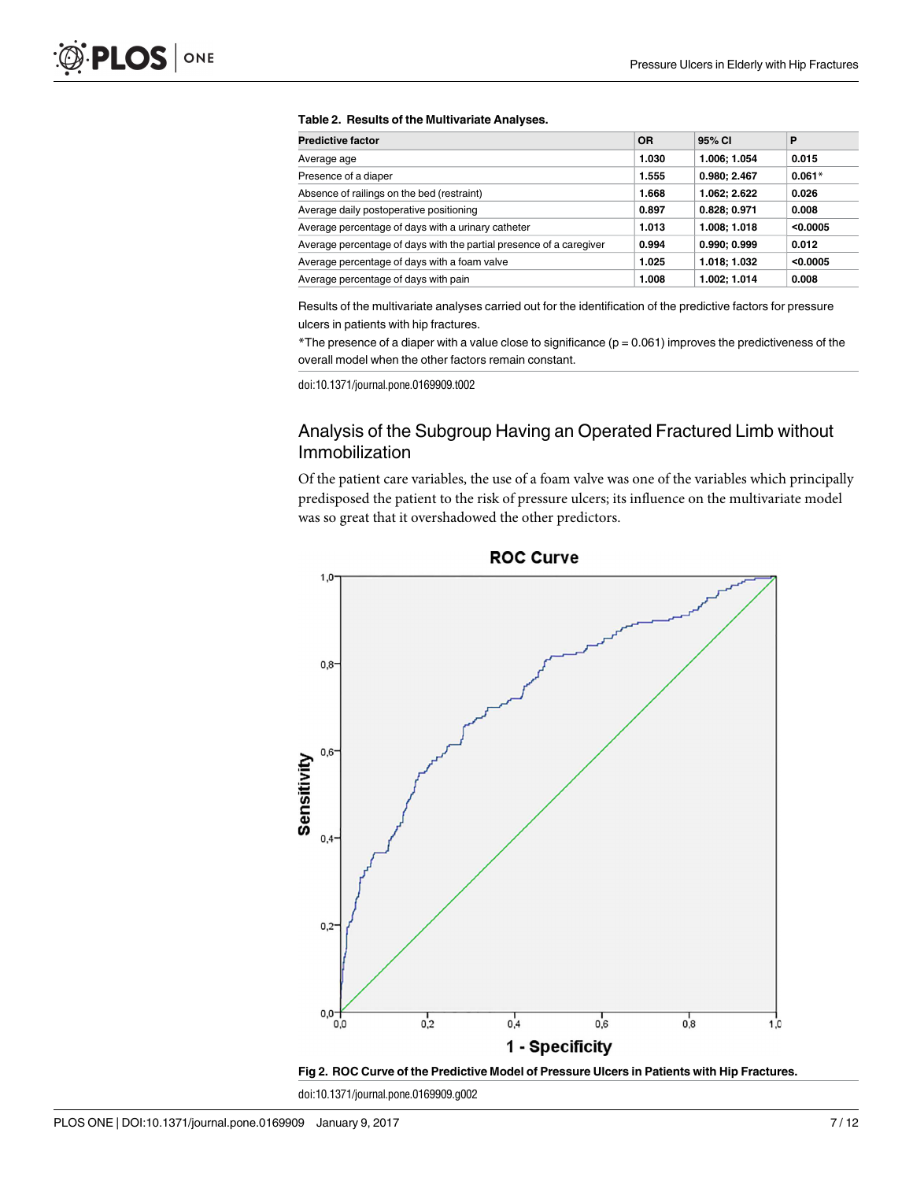#### <span id="page-6-0"></span>**[Table](#page-5-0) 2. Results of the Multivariate Analyses.**

| <b>Predictive factor</b>                                            | 0R    | 95% CI       | P        |
|---------------------------------------------------------------------|-------|--------------|----------|
| Average age                                                         | 1.030 | 1.006; 1.054 | 0.015    |
| Presence of a diaper                                                | 1.555 | 0.980:2.467  | $0.061*$ |
| Absence of railings on the bed (restraint)                          | 1.668 | 1.062; 2.622 | 0.026    |
| Average daily postoperative positioning                             | 0.897 | 0.828; 0.971 | 0.008    |
| Average percentage of days with a urinary catheter                  | 1.013 | 1.008; 1.018 | < 0.0005 |
| Average percentage of days with the partial presence of a caregiver | 0.994 | 0.990; 0.999 | 0.012    |
| Average percentage of days with a foam valve                        | 1.025 | 1.018; 1.032 | < 0.0005 |
| Average percentage of days with pain                                | 1.008 | 1.002; 1.014 | 0.008    |

Results of the multivariate analyses carried out for the identification of the predictive factors for pressure ulcers in patients with hip fractures.

 $*$ The presence of a diaper with a value close to significance ( $p = 0.061$ ) improves the predictiveness of the overall model when the other factors remain constant.

doi:10.1371/journal.pone.0169909.t002

# Analysis of the Subgroup Having an Operated Fractured Limb without Immobilization

Of the patient care variables, the use of a foam valve was one of the variables which principally predisposed the patient to the risk of pressure ulcers; its influence on the multivariate model was so great that it overshadowed the other predictors.



**ROC Curve** 



doi:10.1371/journal.pone.0169909.g002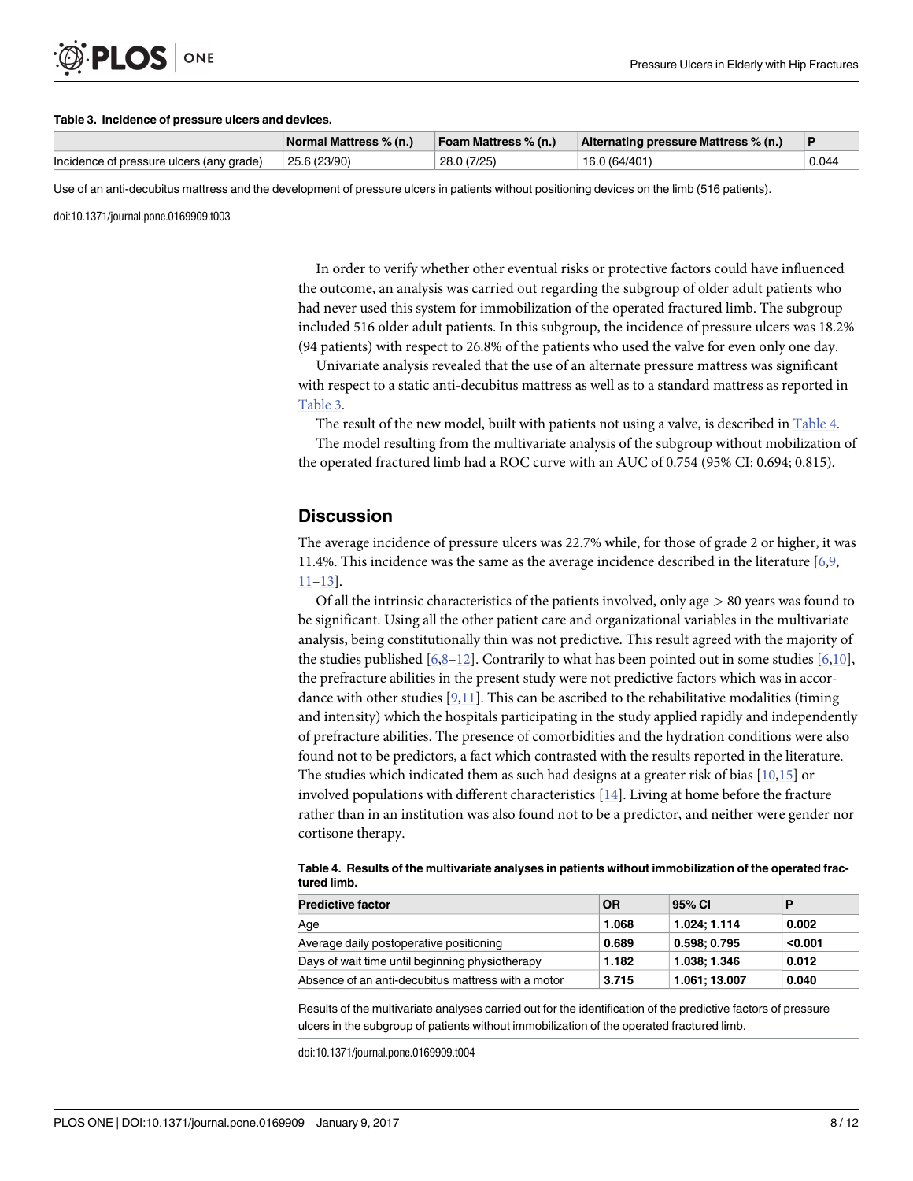#### <span id="page-7-0"></span>**Table 3. Incidence of pressure ulcers and devices.**

ONE

|                                          | Normal Mattress % (n.) | Foam Mattress % (n.) | Alternating pressure Mattress % (n.) |       |
|------------------------------------------|------------------------|----------------------|--------------------------------------|-------|
| Incidence of pressure ulcers (any grade) | 25.6 (23/90)           | 28.0 (7/25)          | 16.0 (64/401)                        | 0.044 |

Use of an anti-decubitus mattress and the development of pressure ulcers in patients without positioning devices on the limb (516 patients).

doi:10.1371/journal.pone.0169909.t003

In order to verify whether other eventual risks or protective factors could have influenced the outcome, an analysis was carried out regarding the subgroup of older adult patients who had never used this system for immobilization of the operated fractured limb. The subgroup included 516 older adult patients. In this subgroup, the incidence of pressure ulcers was 18.2% (94 patients) with respect to 26.8% of the patients who used the valve for even only one day.

Univariate analysis revealed that the use of an alternate pressure mattress was significant with respect to a static anti-decubitus mattress as well as to a standard mattress as reported in Table 3.

The result of the new model, built with patients not using a valve, is described in Table 4.

The model resulting from the multivariate analysis of the subgroup without mobilization of the operated fractured limb had a ROC curve with an AUC of 0.754 (95% CI: 0.694; 0.815).

# **Discussion**

The average incidence of pressure ulcers was 22.7% while, for those of grade 2 or higher, it was 11.4%. This incidence was the same as the average incidence described in the literature [\[6,9,](#page-10-0) [11–13](#page-10-0)].

Of all the intrinsic characteristics of the patients involved, only age *>* 80 years was found to be significant. Using all the other patient care and organizational variables in the multivariate analysis, being constitutionally thin was not predictive. This result agreed with the majority of the studies published  $[6,8-12]$ . Contrarily to what has been pointed out in some studies  $[6,10]$ , the prefracture abilities in the present study were not predictive factors which was in accordance with other studies  $[9,11]$  $[9,11]$  $[9,11]$ . This can be ascribed to the rehabilitative modalities (timing and intensity) which the hospitals participating in the study applied rapidly and independently of prefracture abilities. The presence of comorbidities and the hydration conditions were also found not to be predictors, a fact which contrasted with the results reported in the literature. The studies which indicated them as such had designs at a greater risk of bias  $[10,15]$  $[10,15]$  $[10,15]$  $[10,15]$  or involved populations with different characteristics [\[14](#page-10-0)]. Living at home before the fracture rather than in an institution was also found not to be a predictor, and neither were gender nor cortisone therapy.

| <b>Predictive factor</b>                           | <b>OR</b> | 95% CI        | P       |
|----------------------------------------------------|-----------|---------------|---------|
| Age                                                | 1.068     | 1.024: 1.114  | 0.002   |
| Average daily postoperative positioning            | 0.689     | 0.598: 0.795  | < 0.001 |
| Days of wait time until beginning physiotherapy    | 1.182     | 1.038: 1.346  | 0.012   |
| Absence of an anti-decubitus mattress with a motor | 3.715     | 1.061; 13.007 | 0.040   |

**Table 4. Results of the multivariate analyses in patients without immobilization of the operated fractured limb.**

Results of the multivariate analyses carried out for the identification of the predictive factors of pressure ulcers in the subgroup of patients without immobilization of the operated fractured limb.

doi:10.1371/journal.pone.0169909.t004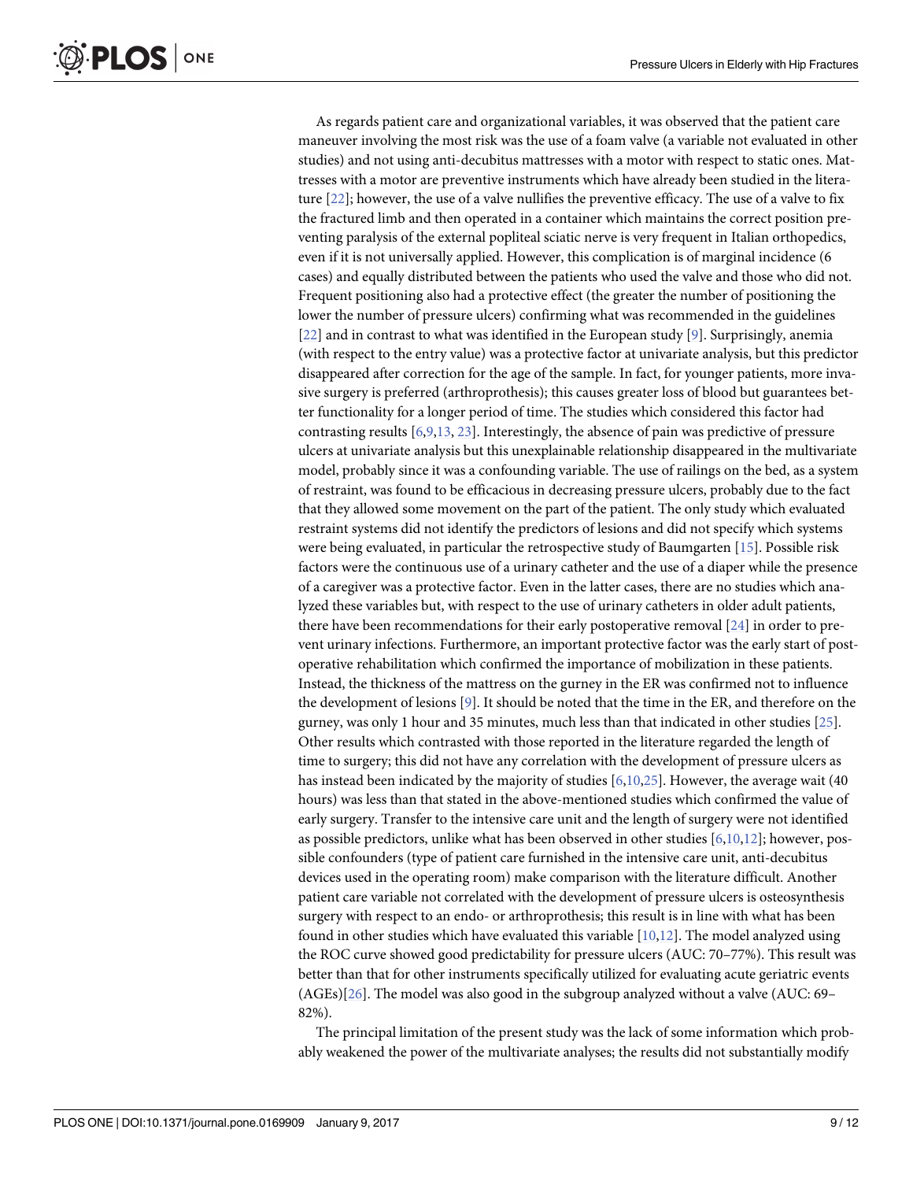<span id="page-8-0"></span>As regards patient care and organizational variables, it was observed that the patient care maneuver involving the most risk was the use of a foam valve (a variable not evaluated in other studies) and not using anti-decubitus mattresses with a motor with respect to static ones. Mattresses with a motor are preventive instruments which have already been studied in the literature [[22](#page-11-0)]; however, the use of a valve nullifies the preventive efficacy. The use of a valve to fix the fractured limb and then operated in a container which maintains the correct position preventing paralysis of the external popliteal sciatic nerve is very frequent in Italian orthopedics, even if it is not universally applied. However, this complication is of marginal incidence (6 cases) and equally distributed between the patients who used the valve and those who did not. Frequent positioning also had a protective effect (the greater the number of positioning the lower the number of pressure ulcers) confirming what was recommended in the guidelines [\[22\]](#page-11-0) and in contrast to what was identified in the European study [[9\]](#page-10-0). Surprisingly, anemia (with respect to the entry value) was a protective factor at univariate analysis, but this predictor disappeared after correction for the age of the sample. In fact, for younger patients, more invasive surgery is preferred (arthroprothesis); this causes greater loss of blood but guarantees better functionality for a longer period of time. The studies which considered this factor had contrasting results [[6,9,13](#page-10-0), [23](#page-11-0)]. Interestingly, the absence of pain was predictive of pressure ulcers at univariate analysis but this unexplainable relationship disappeared in the multivariate model, probably since it was a confounding variable. The use of railings on the bed, as a system of restraint, was found to be efficacious in decreasing pressure ulcers, probably due to the fact that they allowed some movement on the part of the patient. The only study which evaluated restraint systems did not identify the predictors of lesions and did not specify which systems were being evaluated, in particular the retrospective study of Baumgarten [\[15\]](#page-10-0). Possible risk factors were the continuous use of a urinary catheter and the use of a diaper while the presence of a caregiver was a protective factor. Even in the latter cases, there are no studies which analyzed these variables but, with respect to the use of urinary catheters in older adult patients, there have been recommendations for their early postoperative removal [\[24\]](#page-11-0) in order to prevent urinary infections. Furthermore, an important protective factor was the early start of postoperative rehabilitation which confirmed the importance of mobilization in these patients. Instead, the thickness of the mattress on the gurney in the ER was confirmed not to influence the development of lesions [[9](#page-10-0)]. It should be noted that the time in the ER, and therefore on the gurney, was only 1 hour and 35 minutes, much less than that indicated in other studies [\[25\]](#page-11-0). Other results which contrasted with those reported in the literature regarded the length of time to surgery; this did not have any correlation with the development of pressure ulcers as has instead been indicated by the majority of studies [\[6,10,](#page-10-0)[25](#page-11-0)]. However, the average wait (40 hours) was less than that stated in the above-mentioned studies which confirmed the value of early surgery. Transfer to the intensive care unit and the length of surgery were not identified as possible predictors, unlike what has been observed in other studies  $[6,10,12]$  $[6,10,12]$ ; however, possible confounders (type of patient care furnished in the intensive care unit, anti-decubitus devices used in the operating room) make comparison with the literature difficult. Another patient care variable not correlated with the development of pressure ulcers is osteosynthesis surgery with respect to an endo- or arthroprothesis; this result is in line with what has been found in other studies which have evaluated this variable [[10,12\]](#page-10-0). The model analyzed using the ROC curve showed good predictability for pressure ulcers (AUC: 70–77%). This result was better than that for other instruments specifically utilized for evaluating acute geriatric events (AGEs)[[26\]](#page-11-0). The model was also good in the subgroup analyzed without a valve (AUC: 69– 82%).

The principal limitation of the present study was the lack of some information which probably weakened the power of the multivariate analyses; the results did not substantially modify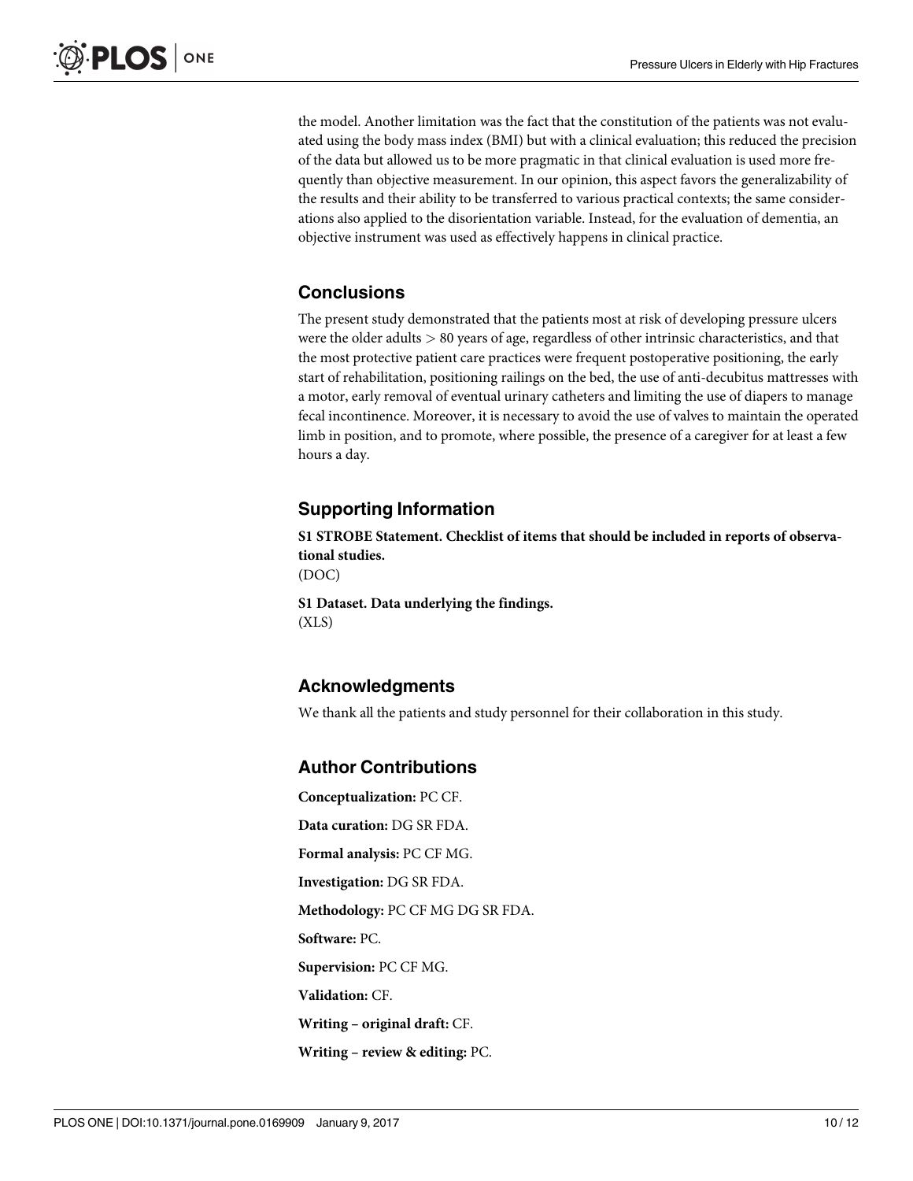<span id="page-9-0"></span>the model. Another limitation was the fact that the constitution of the patients was not evaluated using the body mass index (BMI) but with a clinical evaluation; this reduced the precision of the data but allowed us to be more pragmatic in that clinical evaluation is used more frequently than objective measurement. In our opinion, this aspect favors the generalizability of the results and their ability to be transferred to various practical contexts; the same considerations also applied to the disorientation variable. Instead, for the evaluation of dementia, an objective instrument was used as effectively happens in clinical practice.

# **Conclusions**

The present study demonstrated that the patients most at risk of developing pressure ulcers were the older adults *>* 80 years of age, regardless of other intrinsic characteristics, and that the most protective patient care practices were frequent postoperative positioning, the early start of rehabilitation, positioning railings on the bed, the use of anti-decubitus mattresses with a motor, early removal of eventual urinary catheters and limiting the use of diapers to manage fecal incontinence. Moreover, it is necessary to avoid the use of valves to maintain the operated limb in position, and to promote, where possible, the presence of a caregiver for at least a few hours a day.

# **Supporting Information**

**S1 STROBE [Statement.](http://www.plosone.org/article/fetchSingleRepresentation.action?uri=info:doi/10.1371/journal.pone.0169909.s001) Checklist of items that should be included in reports of observational studies.**

(DOC)

**S1 [Dataset.](http://www.plosone.org/article/fetchSingleRepresentation.action?uri=info:doi/10.1371/journal.pone.0169909.s002) Data underlying the findings.** (XLS)

# **Acknowledgments**

We thank all the patients and study personnel for their collaboration in this study.

# **Author Contributions**

**Conceptualization:** PC CF. **Data curation:** DG SR FDA. **Formal analysis:** PC CF MG. **Investigation:** DG SR FDA. **Methodology:** PC CF MG DG SR FDA. **Software:** PC. **Supervision:** PC CF MG. **Validation:** CF. **Writing – original draft:** CF. **Writing – review & editing:** PC.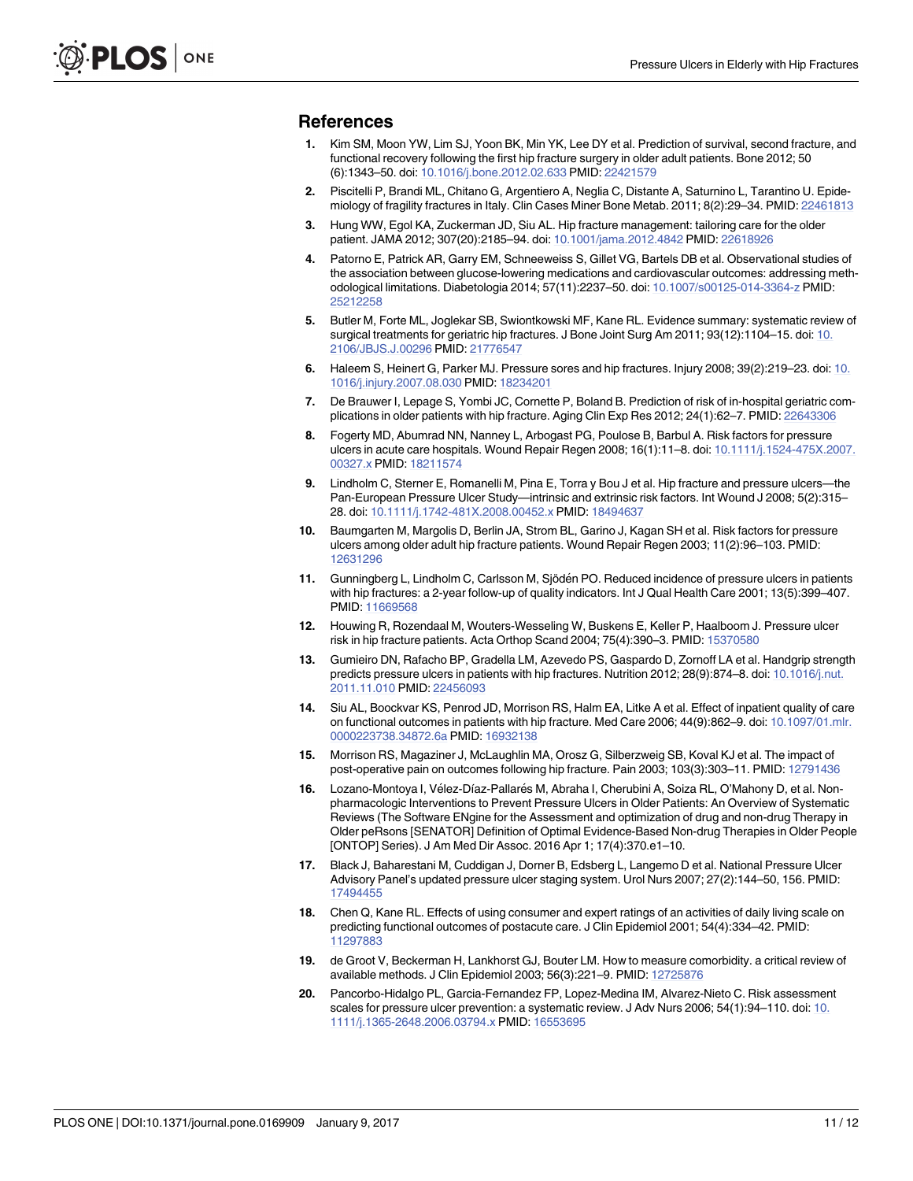#### <span id="page-10-0"></span>**References**

- **[1](#page-1-0).** Kim SM, Moon YW, Lim SJ, Yoon BK, Min YK, Lee DY et al. Prediction of survival, second fracture, and functional recovery following the first hip fracture surgery in older adult patients. Bone 2012; 50 (6):1343–50. doi: [10.1016/j.bone.2012.02.633](http://dx.doi.org/10.1016/j.bone.2012.02.633) PMID: [22421579](http://www.ncbi.nlm.nih.gov/pubmed/22421579)
- **[2](#page-1-0).** Piscitelli P, Brandi ML, Chitano G, Argentiero A, Neglia C, Distante A, Saturnino L, Tarantino U. Epidemiology of fragility fractures in Italy. Clin Cases Miner Bone Metab. 2011; 8(2):29–34. PMID: [22461813](http://www.ncbi.nlm.nih.gov/pubmed/22461813)
- **[3](#page-1-0).** Hung WW, Egol KA, Zuckerman JD, Siu AL. Hip fracture management: tailoring care for the older patient. JAMA 2012; 307(20):2185–94. doi: [10.1001/jama.2012.4842](http://dx.doi.org/10.1001/jama.2012.4842) PMID: [22618926](http://www.ncbi.nlm.nih.gov/pubmed/22618926)
- **[4](#page-1-0).** Patorno E, Patrick AR, Garry EM, Schneeweiss S, Gillet VG, Bartels DB et al. Observational studies of the association between glucose-lowering medications and cardiovascular outcomes: addressing methodological limitations. Diabetologia 2014; 57(11):2237–50. doi: [10.1007/s00125-014-3364-z](http://dx.doi.org/10.1007/s00125-014-3364-z) PMID: [25212258](http://www.ncbi.nlm.nih.gov/pubmed/25212258)
- **[5](#page-1-0).** Butler M, Forte ML, Joglekar SB, Swiontkowski MF, Kane RL. Evidence summary: systematic review of surgical treatments for geriatric hip fractures. J Bone Joint Surg Am 2011; 93(12):1104–15. doi: [10.](http://dx.doi.org/10.2106/JBJS.J.00296) [2106/JBJS.J.00296](http://dx.doi.org/10.2106/JBJS.J.00296) PMID: [21776547](http://www.ncbi.nlm.nih.gov/pubmed/21776547)
- **[6](#page-1-0).** Haleem S, Heinert G, Parker MJ. Pressure sores and hip fractures. Injury 2008; 39(2):219–23. doi: [10.](http://dx.doi.org/10.1016/j.injury.2007.08.030) [1016/j.injury.2007.08.030](http://dx.doi.org/10.1016/j.injury.2007.08.030) PMID: [18234201](http://www.ncbi.nlm.nih.gov/pubmed/18234201)
- **[7](#page-1-0).** De Brauwer I, Lepage S, Yombi JC, Cornette P, Boland B. Prediction of risk of in-hospital geriatric complications in older patients with hip fracture. Aging Clin Exp Res 2012; 24(1):62–7. PMID: [22643306](http://www.ncbi.nlm.nih.gov/pubmed/22643306)
- **[8](#page-1-0).** Fogerty MD, Abumrad NN, Nanney L, Arbogast PG, Poulose B, Barbul A. Risk factors for pressure ulcers in acute care hospitals. Wound Repair Regen 2008; 16(1):11–8. doi: [10.1111/j.1524-475X.2007.](http://dx.doi.org/10.1111/j.1524-475X.2007.00327.x) [00327.x](http://dx.doi.org/10.1111/j.1524-475X.2007.00327.x) PMID: [18211574](http://www.ncbi.nlm.nih.gov/pubmed/18211574)
- **[9](#page-1-0).** Lindholm C, Sterner E, Romanelli M, Pina E, Torra y Bou J et al. Hip fracture and pressure ulcers—the Pan-European Pressure Ulcer Study-intrinsic and extrinsic risk factors. Int Wound J 2008; 5(2):315-28. doi: [10.1111/j.1742-481X.2008.00452.x](http://dx.doi.org/10.1111/j.1742-481X.2008.00452.x) PMID: [18494637](http://www.ncbi.nlm.nih.gov/pubmed/18494637)
- **[10](#page-1-0).** Baumgarten M, Margolis D, Berlin JA, Strom BL, Garino J, Kagan SH et al. Risk factors for pressure ulcers among older adult hip fracture patients. Wound Repair Regen 2003; 11(2):96–103. PMID: [12631296](http://www.ncbi.nlm.nih.gov/pubmed/12631296)
- **[11](#page-7-0).** Gunningberg L, Lindholm C, Carlsson M, Sjödén PO. Reduced incidence of pressure ulcers in patients with hip fractures: a 2-year follow-up of quality indicators. Int J Qual Health Care 2001; 13(5):399–407. PMID: [11669568](http://www.ncbi.nlm.nih.gov/pubmed/11669568)
- **[12](#page-7-0).** Houwing R, Rozendaal M, Wouters-Wesseling W, Buskens E, Keller P, Haalboom J. Pressure ulcer risk in hip fracture patients. Acta Orthop Scand 2004; 75(4):390–3. PMID: [15370580](http://www.ncbi.nlm.nih.gov/pubmed/15370580)
- **[13](#page-1-0).** Gumieiro DN, Rafacho BP, Gradella LM, Azevedo PS, Gaspardo D, Zornoff LA et al. Handgrip strength predicts pressure ulcers in patients with hip fractures. Nutrition 2012; 28(9):874-8. doi: [10.1016/j.nut.](http://dx.doi.org/10.1016/j.nut.2011.11.010) [2011.11.010](http://dx.doi.org/10.1016/j.nut.2011.11.010) PMID: [22456093](http://www.ncbi.nlm.nih.gov/pubmed/22456093)
- **[14](#page-1-0).** Siu AL, Boockvar KS, Penrod JD, Morrison RS, Halm EA, Litke A et al. Effect of inpatient quality of care on functional outcomes in patients with hip fracture. Med Care 2006; 44(9):862–9. doi: [10.1097/01.mlr.](http://dx.doi.org/10.1097/01.mlr.0000223738.34872.6a) [0000223738.34872.6a](http://dx.doi.org/10.1097/01.mlr.0000223738.34872.6a) PMID: [16932138](http://www.ncbi.nlm.nih.gov/pubmed/16932138)
- **[15](#page-1-0).** Morrison RS, Magaziner J, McLaughlin MA, Orosz G, Silberzweig SB, Koval KJ et al. The impact of post-operative pain on outcomes following hip fracture. Pain 2003; 103(3):303–11. PMID: [12791436](http://www.ncbi.nlm.nih.gov/pubmed/12791436)
- **[16](#page-1-0).** Lozano-Montoya I, Vélez-Díaz-Pallarés M, Abraha I, Cherubini A, Soiza RL, O'Mahony D, et al. Nonpharmacologic Interventions to Prevent Pressure Ulcers in Older Patients: An Overview of Systematic Reviews (The Software ENgine for the Assessment and optimization of drug and non-drug Therapy in Older peRsons [SENATOR] Definition of Optimal Evidence-Based Non-drug Therapies in Older People [ONTOP] Series). J Am Med Dir Assoc. 2016 Apr 1; 17(4):370.e1–10.
- **[17](#page-1-0).** Black J, Baharestani M, Cuddigan J, Dorner B, Edsberg L, Langemo D et al. National Pressure Ulcer Advisory Panel's updated pressure ulcer staging system. Urol Nurs 2007; 27(2):144–50, 156. PMID: [17494455](http://www.ncbi.nlm.nih.gov/pubmed/17494455)
- **[18](#page-2-0).** Chen Q, Kane RL. Effects of using consumer and expert ratings of an activities of daily living scale on predicting functional outcomes of postacute care. J Clin Epidemiol 2001; 54(4):334–42. PMID: [11297883](http://www.ncbi.nlm.nih.gov/pubmed/11297883)
- **[19](#page-2-0).** de Groot V, Beckerman H, Lankhorst GJ, Bouter LM. How to measure comorbidity. a critical review of available methods. J Clin Epidemiol 2003; 56(3):221–9. PMID: [12725876](http://www.ncbi.nlm.nih.gov/pubmed/12725876)
- **[20](#page-2-0).** Pancorbo-Hidalgo PL, Garcia-Fernandez FP, Lopez-Medina IM, Alvarez-Nieto C. Risk assessment scales for pressure ulcer prevention: a systematic review. J Adv Nurs 2006; 54(1):94–110. doi: [10.](http://dx.doi.org/10.1111/j.1365-2648.2006.03794.x) [1111/j.1365-2648.2006.03794.x](http://dx.doi.org/10.1111/j.1365-2648.2006.03794.x) PMID: [16553695](http://www.ncbi.nlm.nih.gov/pubmed/16553695)